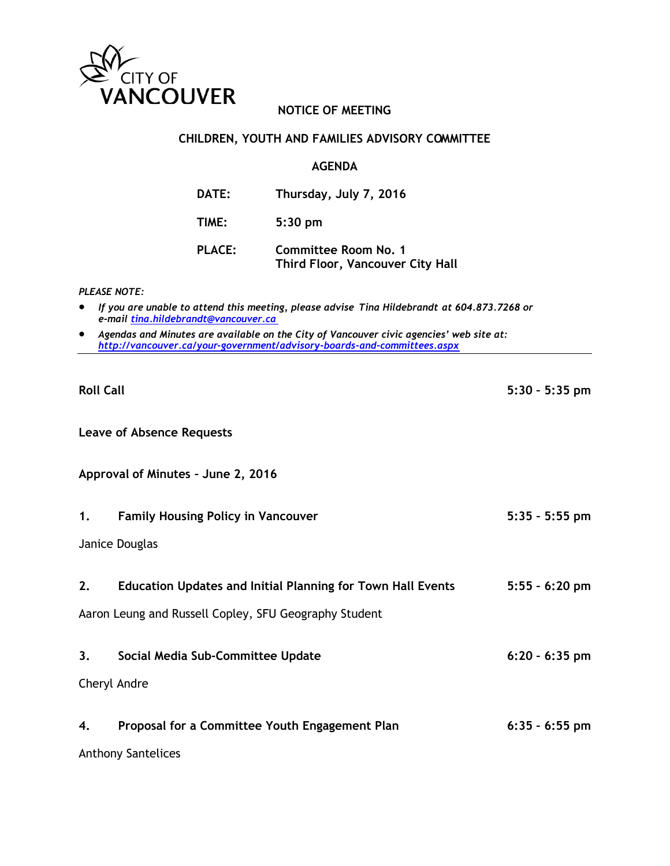

# **NOTICE OF MEETING**

## **CHILDREN, YOUTH AND FAMILIES ADVISORY COMMITTEE**

### **AGENDA**

| DATE:         | Thursday, July 7, 2016                                          |
|---------------|-----------------------------------------------------------------|
| TIME:         | $5:30$ pm                                                       |
| <b>PLACE:</b> | <b>Committee Room No. 1</b><br>Third Floor, Vancouver City Hall |

#### *PLEASE NOTE:*

- *If you are unable to attend this meeting, please advise Tina Hildebrandt at 604.873.7268 or e-mail [tina.hildebrandt@vancouver.ca](mailto:tina.hildebrandt@vancouver.ca)*
- *Agendas and Minutes are available on the City of Vancouver civic agencies' web site at: <http://vancouver.ca/your-government/advisory-boards-and-committees.aspx>*

**Roll Call 5:30 – 5:35 pm**

**Leave of Absence Requests**

**Approval of Minutes – June 2, 2016**

**1. Family Housing Policy in Vancouver 5:35 – 5:55 pm**

Janice Douglas

**2. Education Updates and Initial Planning for Town Hall Events 5:55 – 6:20 pm**

Aaron Leung and Russell Copley, SFU Geography Student

**3. Social Media Sub-Committee Update 6:20 – 6:35 pm**

Cheryl Andre

| 4. | Proposal for a Committee Youth Engagement Plan | $6:35 - 6:55$ pm |
|----|------------------------------------------------|------------------|
|    | <b>Anthony Santelices</b>                      |                  |